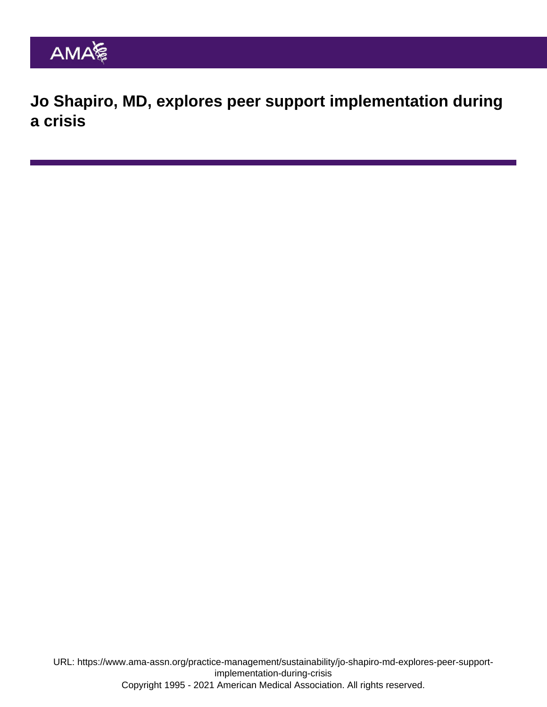Jo Shapiro, MD, explores peer support implementation during a crisis

URL: [https://www.ama-assn.org/practice-management/sustainability/jo-shapiro-md-explores-peer-support](https://www.ama-assn.org/practice-management/sustainability/jo-shapiro-md-explores-peer-support-implementation-during-crisis)[implementation-during-crisis](https://www.ama-assn.org/practice-management/sustainability/jo-shapiro-md-explores-peer-support-implementation-during-crisis) Copyright 1995 - 2021 American Medical Association. All rights reserved.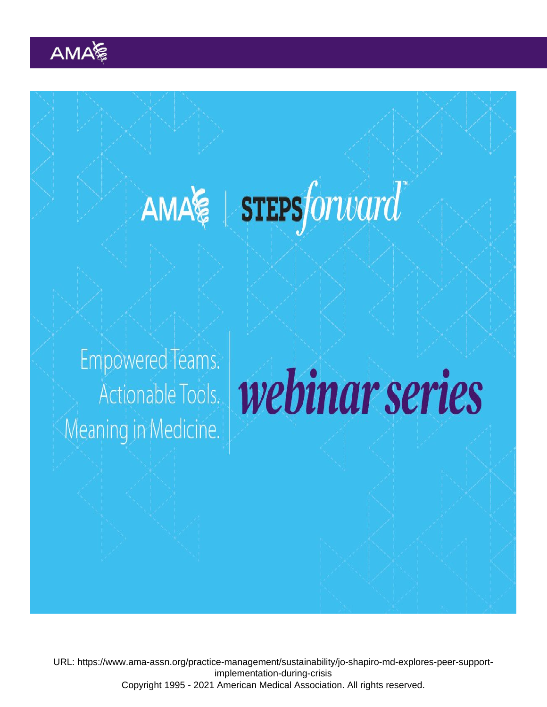URL: [https://www.ama-assn.org/practice-management/sustainability/jo-shapiro-md-explores-peer-support](https://www.ama-assn.org/practice-management/sustainability/jo-shapiro-md-explores-peer-support-implementation-during-crisis)[implementation-during-crisis](https://www.ama-assn.org/practice-management/sustainability/jo-shapiro-md-explores-peer-support-implementation-during-crisis) Copyright 1995 - 2021 American Medical Association. All rights reserved.